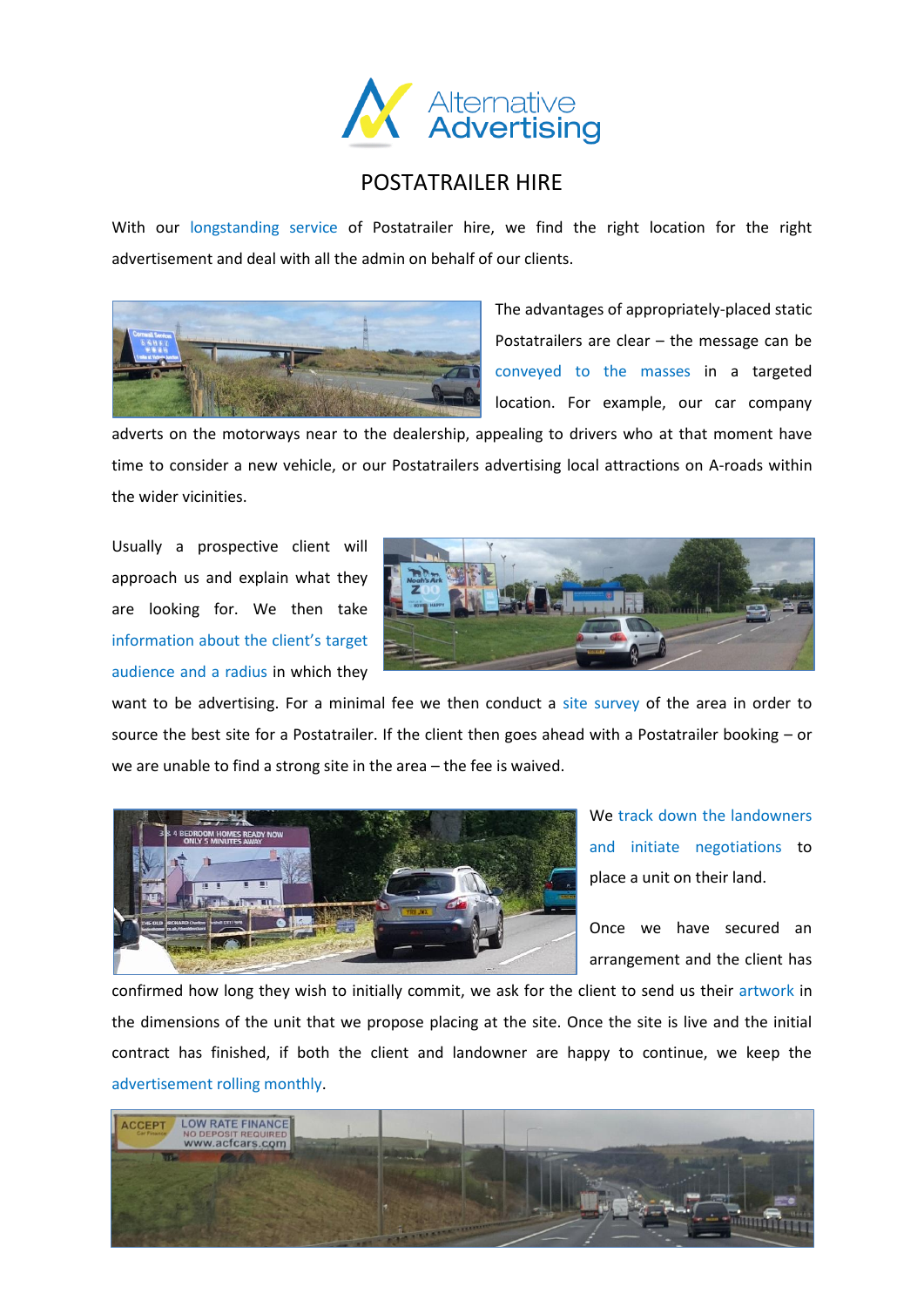

## POSTATRAILER HIRE

With our longstanding service of Postatrailer hire, we find the right location for the right advertisement and deal with all the admin on behalf of our clients.



The advantages of appropriately-placed static Postatrailers are clear – the message can be conveyed to the masses in a targeted location. For example, our car company

adverts on the motorways near to the dealership, appealing to drivers who at that moment have time to consider a new vehicle, or our Postatrailers advertising local attractions on A-roads within the wider vicinities.

Usually a prospective client will approach us and explain what they are looking for. We then take information about the client's target audience and a radius in which they



want to be advertising. For a minimal fee we then conduct a site survey of the area in order to source the best site for a Postatrailer. If the client then goes ahead with a Postatrailer booking – or we are unable to find a strong site in the area – the fee is waived.



We track down the landowners and initiate negotiations to place a unit on their land.

Once we have secured an arrangement and the client has

confirmed how long they wish to initially commit, we ask for the client to send us their artwork in the dimensions of the unit that we propose placing at the site. Once the site is live and the initial contract has finished, if both the client and landowner are happy to continue, we keep the advertisement rolling monthly.